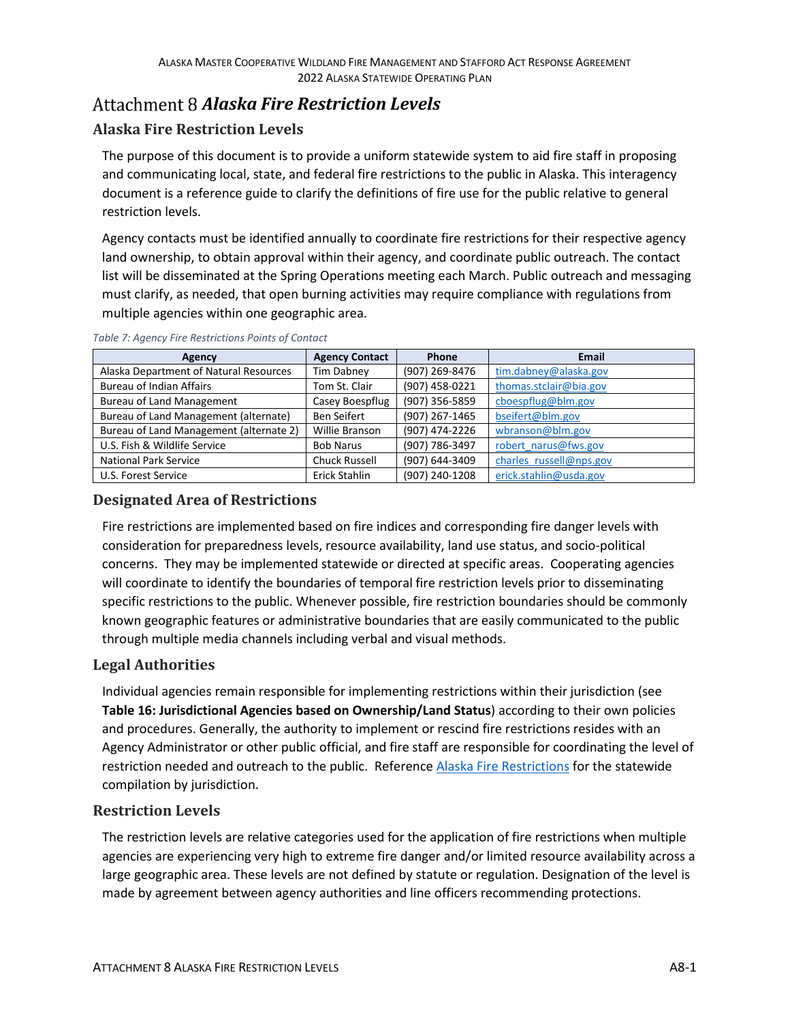# *Alaska Fire Restriction Levels*

### **Alaska Fire Restriction Levels**

The purpose of this document is to provide a uniform statewide system to aid fire staff in proposing and communicating local, state, and federal fire restrictions to the public in Alaska. This interagency document is a reference guide to clarify the definitions of fire use for the public relative to general restriction levels.

Agency contacts must be identified annually to coordinate fire restrictions for their respective agency land ownership, to obtain approval within their agency, and coordinate public outreach. The contact list will be disseminated at the Spring Operations meeting each March. Public outreach and messaging must clarify, as needed, that open burning activities may require compliance with regulations from multiple agencies within one geographic area.

| Agency                                  | <b>Agency Contact</b> | Phone          | <b>Email</b>            |
|-----------------------------------------|-----------------------|----------------|-------------------------|
| Alaska Department of Natural Resources  | Tim Dabney            | (907) 269-8476 | tim.dabney@alaska.gov   |
| <b>Bureau of Indian Affairs</b>         | Tom St. Clair         | (907) 458-0221 | thomas.stclair@bia.gov  |
| <b>Bureau of Land Management</b>        | Casey Boespflug       | (907) 356-5859 | cboespflug@blm.gov      |
| Bureau of Land Management (alternate)   | Ben Seifert           | (907) 267-1465 | bseifert@blm.gov        |
| Bureau of Land Management (alternate 2) | Willie Branson        | (907) 474-2226 | wbranson@blm.gov        |
| U.S. Fish & Wildlife Service            | <b>Bob Narus</b>      | (907) 786-3497 | robert narus@fws.gov    |
| <b>National Park Service</b>            | <b>Chuck Russell</b>  | (907) 644-3409 | charles russell@nps.gov |
| U.S. Forest Service                     | Erick Stahlin         | (907) 240-1208 | erick.stahlin@usda.gov  |

*Table 7: Agency Fire Restrictions Points of Contact*

## **Designated Area of Restrictions**

Fire restrictions are implemented based on fire indices and corresponding fire danger levels with consideration for preparedness levels, resource availability, land use status, and socio-political concerns. They may be implemented statewide or directed at specific areas. Cooperating agencies will coordinate to identify the boundaries of temporal fire restriction levels prior to disseminating specific restrictions to the public. Whenever possible, fire restriction boundaries should be commonly known geographic features or administrative boundaries that are easily communicated to the public through multiple media channels including verbal and visual methods.

#### **Legal Authorities**

Individual agencies remain responsible for implementing restrictions within their jurisdiction (see **Table 16: Jurisdictional Agencies based on Ownership/Land Status**) according to their own policies and procedures. Generally, the authority to implement or rescind fire restrictions resides with an Agency Administrator or other public official, and fire staff are responsible for coordinating the level of restriction needed and outreach to the public. Reference [Alaska Fire Restrictions](https://dec.alaska.gov/air/anpms/alaska-fire-restrictions/) for the statewide compilation by jurisdiction.

#### **Restriction Levels**

The restriction levels are relative categories used for the application of fire restrictions when multiple agencies are experiencing very high to extreme fire danger and/or limited resource availability across a large geographic area. These levels are not defined by statute or regulation. Designation of the level is made by agreement between agency authorities and line officers recommending protections.